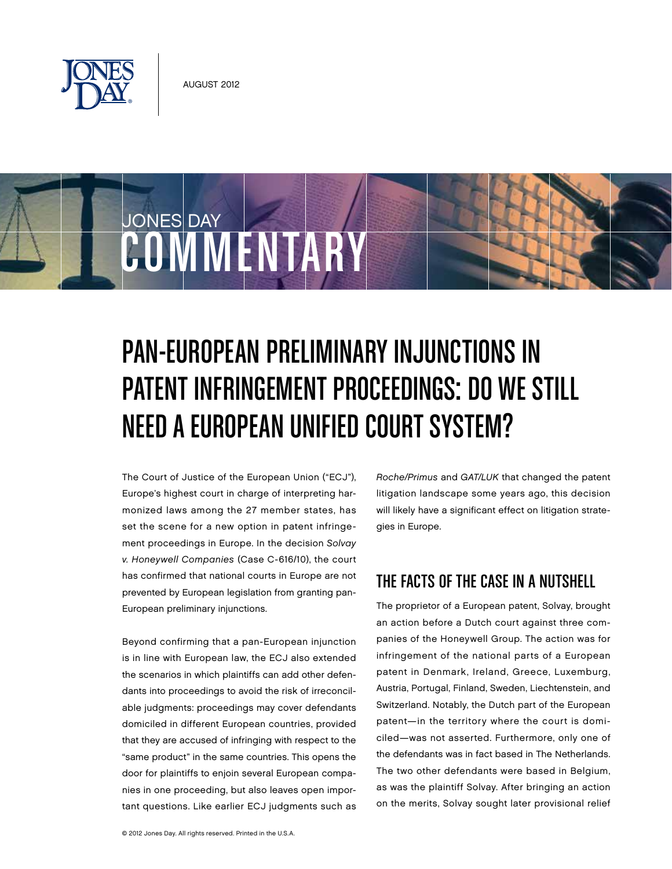

JONES DAY

# Pan-European Preliminary Injunctions in Patent Infringement Proceedings: Do We Still Need a European Unified Court System?

The Court of Justice of the European Union ("ECJ"), Europe's highest court in charge of interpreting harmonized laws among the 27 member states, has set the scene for a new option in patent infringement proceedings in Europe. In the decision Solvay v. Honeywell Companies (Case C-616/10), the court has confirmed that national courts in Europe are not prevented by European legislation from granting pan-European preliminary injunctions.

**COMMENTARY** 

Beyond confirming that a pan-European injunction is in line with European law, the ECJ also extended the scenarios in which plaintiffs can add other defendants into proceedings to avoid the risk of irreconcilable judgments: proceedings may cover defendants domiciled in different European countries, provided that they are accused of infringing with respect to the "same product" in the same countries. This opens the door for plaintiffs to enjoin several European companies in one proceeding, but also leaves open important questions. Like earlier ECJ judgments such as Roche/Primus and GAT/LUK that changed the patent litigation landscape some years ago, this decision will likely have a significant effect on litigation strategies in Europe.

## The Facts of the Case in a Nutshell

The proprietor of a European patent, Solvay, brought an action before a Dutch court against three companies of the Honeywell Group. The action was for infringement of the national parts of a European patent in Denmark, Ireland, Greece, Luxemburg, Austria, Portugal, Finland, Sweden, Liechtenstein, and Switzerland. Notably, the Dutch part of the European patent—in the territory where the court is domiciled—was not asserted. Furthermore, only one of the defendants was in fact based in The Netherlands. The two other defendants were based in Belgium, as was the plaintiff Solvay. After bringing an action on the merits, Solvay sought later provisional relief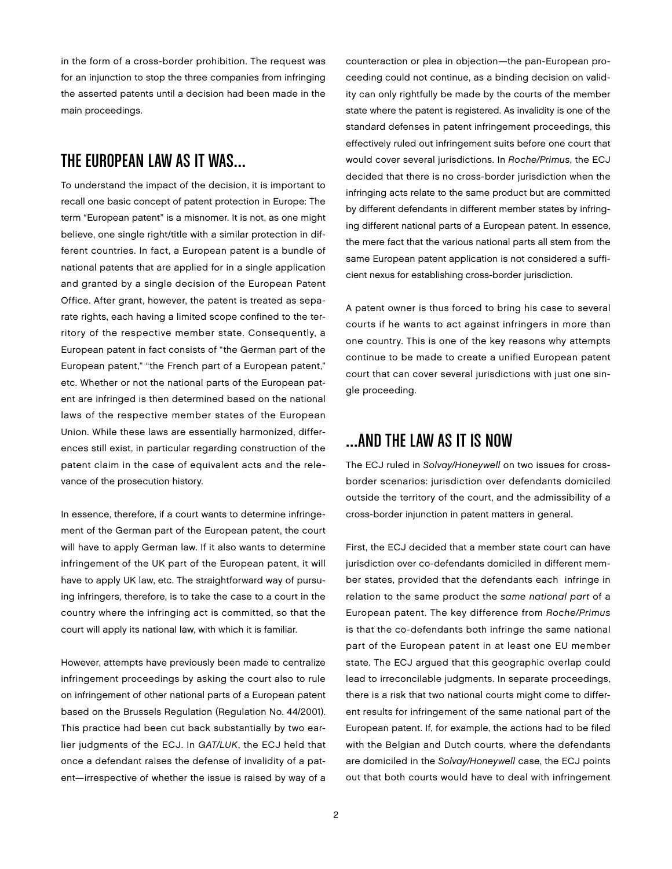in the form of a cross-border prohibition. The request was for an injunction to stop the three companies from infringing the asserted patents until a decision had been made in the main proceedings.

#### The European Law as It Was…

To understand the impact of the decision, it is important to recall one basic concept of patent protection in Europe: The term "European patent" is a misnomer. It is not, as one might believe, one single right/title with a similar protection in different countries. In fact, a European patent is a bundle of national patents that are applied for in a single application and granted by a single decision of the European Patent Office. After grant, however, the patent is treated as separate rights, each having a limited scope confined to the territory of the respective member state. Consequently, a European patent in fact consists of "the German part of the European patent," "the French part of a European patent," etc. Whether or not the national parts of the European patent are infringed is then determined based on the national laws of the respective member states of the European Union. While these laws are essentially harmonized, differences still exist, in particular regarding construction of the patent claim in the case of equivalent acts and the relevance of the prosecution history.

In essence, therefore, if a court wants to determine infringement of the German part of the European patent, the court will have to apply German law. If it also wants to determine infringement of the UK part of the European patent, it will have to apply UK law, etc. The straightforward way of pursuing infringers, therefore, is to take the case to a court in the country where the infringing act is committed, so that the court will apply its national law, with which it is familiar.

However, attempts have previously been made to centralize infringement proceedings by asking the court also to rule on infringement of other national parts of a European patent based on the Brussels Regulation (Regulation No. 44/2001). This practice had been cut back substantially by two earlier judgments of the ECJ. In GAT/LUK, the ECJ held that once a defendant raises the defense of invalidity of a patent—irrespective of whether the issue is raised by way of a

counteraction or plea in objection—the pan-European proceeding could not continue, as a binding decision on validity can only rightfully be made by the courts of the member state where the patent is registered. As invalidity is one of the standard defenses in patent infringement proceedings, this effectively ruled out infringement suits before one court that would cover several jurisdictions. In Roche/Primus, the ECJ decided that there is no cross-border jurisdiction when the infringing acts relate to the same product but are committed by different defendants in different member states by infringing different national parts of a European patent. In essence, the mere fact that the various national parts all stem from the same European patent application is not considered a sufficient nexus for establishing cross-border jurisdiction.

A patent owner is thus forced to bring his case to several courts if he wants to act against infringers in more than one country. This is one of the key reasons why attempts continue to be made to create a unified European patent court that can cover several jurisdictions with just one single proceeding.

#### …and the Law as It Is Now

The ECJ ruled in Solvay/Honeywell on two issues for crossborder scenarios: jurisdiction over defendants domiciled outside the territory of the court, and the admissibility of a cross-border injunction in patent matters in general.

First, the ECJ decided that a member state court can have jurisdiction over co-defendants domiciled in different member states, provided that the defendants each infringe in relation to the same product the same national part of a European patent. The key difference from Roche/Primus is that the co-defendants both infringe the same national part of the European patent in at least one EU member state. The ECJ argued that this geographic overlap could lead to irreconcilable judgments. In separate proceedings, there is a risk that two national courts might come to different results for infringement of the same national part of the European patent. If, for example, the actions had to be filed with the Belgian and Dutch courts, where the defendants are domiciled in the Solvay/Honeywell case, the ECJ points out that both courts would have to deal with infringement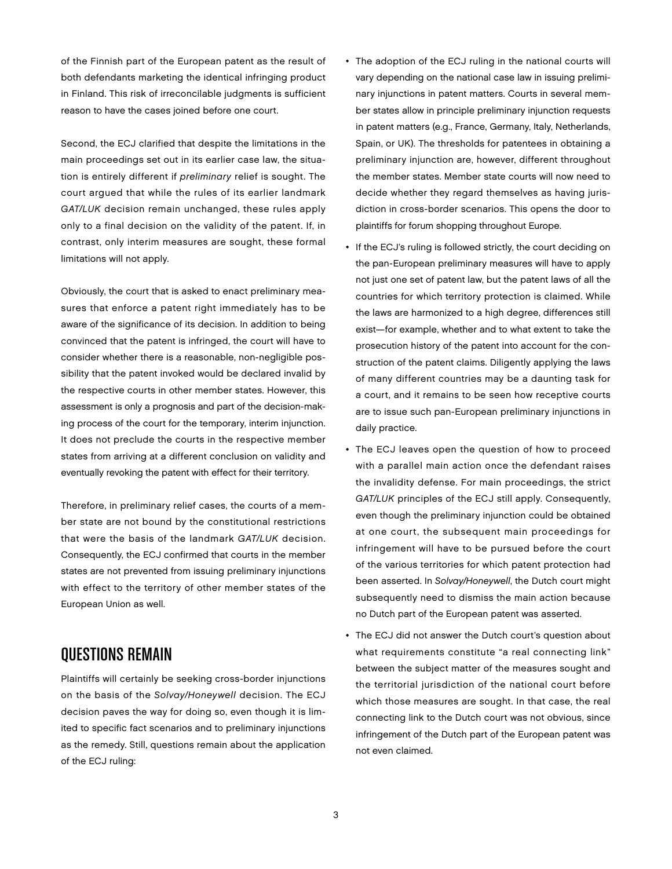of the Finnish part of the European patent as the result of both defendants marketing the identical infringing product in Finland. This risk of irreconcilable judgments is sufficient reason to have the cases joined before one court.

Second, the ECJ clarified that despite the limitations in the main proceedings set out in its earlier case law, the situation is entirely different if preliminary relief is sought. The court argued that while the rules of its earlier landmark GAT/LUK decision remain unchanged, these rules apply only to a final decision on the validity of the patent. If, in contrast, only interim measures are sought, these formal limitations will not apply.

Obviously, the court that is asked to enact preliminary measures that enforce a patent right immediately has to be aware of the significance of its decision. In addition to being convinced that the patent is infringed, the court will have to consider whether there is a reasonable, non-negligible possibility that the patent invoked would be declared invalid by the respective courts in other member states. However, this assessment is only a prognosis and part of the decision-making process of the court for the temporary, interim injunction. It does not preclude the courts in the respective member states from arriving at a different conclusion on validity and eventually revoking the patent with effect for their territory.

Therefore, in preliminary relief cases, the courts of a member state are not bound by the constitutional restrictions that were the basis of the landmark GAT/LUK decision. Consequently, the ECJ confirmed that courts in the member states are not prevented from issuing preliminary injunctions with effect to the territory of other member states of the European Union as well.

## Questions Remain

Plaintiffs will certainly be seeking cross-border injunctions on the basis of the Solvay/Honeywell decision. The ECJ decision paves the way for doing so, even though it is limited to specific fact scenarios and to preliminary injunctions as the remedy. Still, questions remain about the application of the ECJ ruling:

- The adoption of the ECJ ruling in the national courts will vary depending on the national case law in issuing preliminary injunctions in patent matters. Courts in several member states allow in principle preliminary injunction requests in patent matters (e.g., France, Germany, Italy, Netherlands, Spain, or UK). The thresholds for patentees in obtaining a preliminary injunction are, however, different throughout the member states. Member state courts will now need to decide whether they regard themselves as having jurisdiction in cross-border scenarios. This opens the door to plaintiffs for forum shopping throughout Europe.
- If the ECJ's ruling is followed strictly, the court deciding on the pan-European preliminary measures will have to apply not just one set of patent law, but the patent laws of all the countries for which territory protection is claimed. While the laws are harmonized to a high degree, differences still exist—for example, whether and to what extent to take the prosecution history of the patent into account for the construction of the patent claims. Diligently applying the laws of many different countries may be a daunting task for a court, and it remains to be seen how receptive courts are to issue such pan-European preliminary injunctions in daily practice.
- The ECJ leaves open the question of how to proceed with a parallel main action once the defendant raises the invalidity defense. For main proceedings, the strict GAT/LUK principles of the ECJ still apply. Consequently, even though the preliminary injunction could be obtained at one court, the subsequent main proceedings for infringement will have to be pursued before the court of the various territories for which patent protection had been asserted. In Solvay/Honeywell, the Dutch court might subsequently need to dismiss the main action because no Dutch part of the European patent was asserted.
- The ECJ did not answer the Dutch court's question about what requirements constitute "a real connecting link" between the subject matter of the measures sought and the territorial jurisdiction of the national court before which those measures are sought. In that case, the real connecting link to the Dutch court was not obvious, since infringement of the Dutch part of the European patent was not even claimed.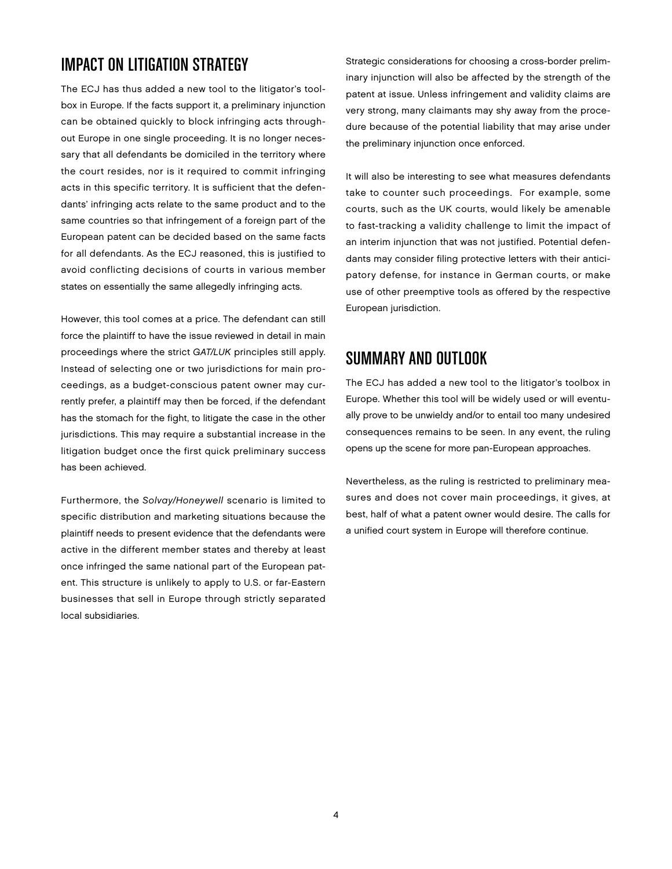## Impact on Litigation Strategy

The ECJ has thus added a new tool to the litigator's toolbox in Europe. If the facts support it, a preliminary injunction can be obtained quickly to block infringing acts throughout Europe in one single proceeding. It is no longer necessary that all defendants be domiciled in the territory where the court resides, nor is it required to commit infringing acts in this specific territory. It is sufficient that the defendants' infringing acts relate to the same product and to the same countries so that infringement of a foreign part of the European patent can be decided based on the same facts for all defendants. As the ECJ reasoned, this is justified to avoid conflicting decisions of courts in various member states on essentially the same allegedly infringing acts.

However, this tool comes at a price. The defendant can still force the plaintiff to have the issue reviewed in detail in main proceedings where the strict GAT/LUK principles still apply. Instead of selecting one or two jurisdictions for main proceedings, as a budget-conscious patent owner may currently prefer, a plaintiff may then be forced, if the defendant has the stomach for the fight, to litigate the case in the other jurisdictions. This may require a substantial increase in the litigation budget once the first quick preliminary success has been achieved.

Furthermore, the Solvay/Honeywell scenario is limited to specific distribution and marketing situations because the plaintiff needs to present evidence that the defendants were active in the different member states and thereby at least once infringed the same national part of the European patent. This structure is unlikely to apply to U.S. or far-Eastern businesses that sell in Europe through strictly separated local subsidiaries.

Strategic considerations for choosing a cross-border preliminary injunction will also be affected by the strength of the patent at issue. Unless infringement and validity claims are very strong, many claimants may shy away from the procedure because of the potential liability that may arise under the preliminary injunction once enforced.

It will also be interesting to see what measures defendants take to counter such proceedings. For example, some courts, such as the UK courts, would likely be amenable to fast-tracking a validity challenge to limit the impact of an interim injunction that was not justified. Potential defendants may consider filing protective letters with their anticipatory defense, for instance in German courts, or make use of other preemptive tools as offered by the respective European jurisdiction.

#### Summary and Outlook

The ECJ has added a new tool to the litigator's toolbox in Europe. Whether this tool will be widely used or will eventually prove to be unwieldy and/or to entail too many undesired consequences remains to be seen. In any event, the ruling opens up the scene for more pan-European approaches.

Nevertheless, as the ruling is restricted to preliminary measures and does not cover main proceedings, it gives, at best, half of what a patent owner would desire. The calls for a unified court system in Europe will therefore continue.